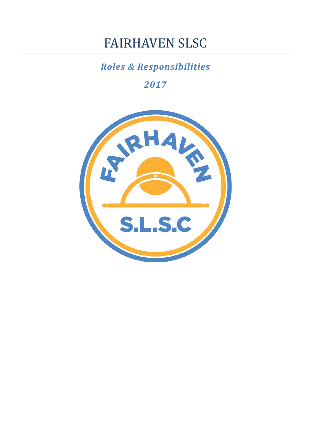# FAIRHAVEN SLSC

# *Roles & Responsibilities*

*2017*

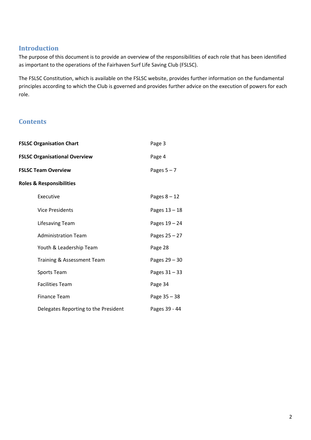# **Introduction**

The purpose of this document is to provide an overview of the responsibilities of each role that has been identified as important to the operations of the Fairhaven Surf Life Saving Club (FSLSC).

The FSLSC Constitution, which is available on the FSLSC website, provides further information on the fundamental principles according to which the Club is governed and provides further advice on the execution of powers for each role.

# **Contents**

| <b>FSLSC Organisation Chart</b>      |                                      | Page 3         |
|--------------------------------------|--------------------------------------|----------------|
| <b>FSLSC Organisational Overview</b> |                                      | Page 4         |
| <b>FSLSC Team Overview</b>           |                                      | Pages $5 - 7$  |
| <b>Roles &amp; Responsibilities</b>  |                                      |                |
|                                      | Executive                            | Pages $8 - 12$ |
|                                      | <b>Vice Presidents</b>               | Pages 13 - 18  |
|                                      | Lifesaving Team                      | Pages 19 - 24  |
|                                      | <b>Administration Team</b>           | Pages 25 - 27  |
|                                      | Youth & Leadership Team              | Page 28        |
|                                      | Training & Assessment Team           | Pages 29 - 30  |
|                                      | Sports Team                          | Pages 31-33    |
|                                      | <b>Facilities Team</b>               | Page 34        |
|                                      | <b>Finance Team</b>                  | Page 35 - 38   |
|                                      | Delegates Reporting to the President | Pages 39 - 44  |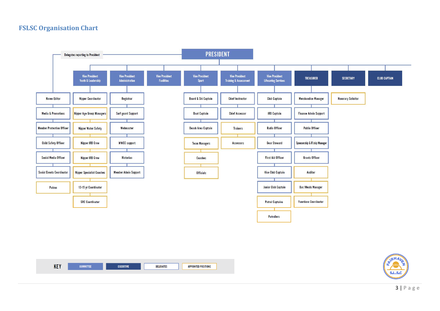# **FSLSC Organisation Chart**





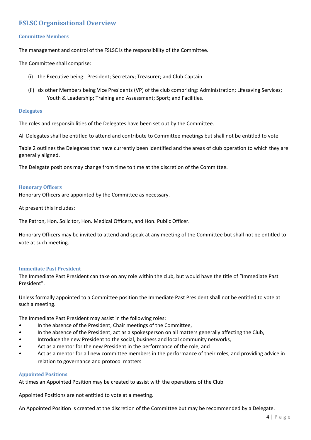# **FSLSC Organisational Overview**

#### **Committee Members**

The management and control of the FSLSC is the responsibility of the Committee.

The Committee shall comprise:

- (i) the Executive being: President; Secretary; Treasurer; and Club Captain
- (ii) six other Members being Vice Presidents (VP) of the club comprising: Administration; Lifesaving Services; Youth & Leadership; Training and Assessment; Sport; and Facilities.

#### **Delegates**

The roles and responsibilities of the Delegates have been set out by the Committee.

All Delegates shall be entitled to attend and contribute to Committee meetings but shall not be entitled to vote.

Table 2 outlines the Delegates that have currently been identified and the areas of club operation to which they are generally aligned.

The Delegate positions may change from time to time at the discretion of the Committee.

#### **Honorary Officers**

Honorary Officers are appointed by the Committee as necessary.

At present this includes:

The Patron, Hon. Solicitor, Hon. Medical Officers, and Hon. Public Officer.

Honorary Officers may be invited to attend and speak at any meeting of the Committee but shall not be entitled to vote at such meeting.

#### **Immediate Past President**

The Immediate Past President can take on any role within the club, but would have the title of "Immediate Past President".

Unless formally appointed to a Committee position the Immediate Past President shall not be entitled to vote at such a meeting.

The Immediate Past President may assist in the following roles:

- In the absence of the President, Chair meetings of the Committee,
- In the absence of the President, act as a spokesperson on all matters generally affecting the Club,
- Introduce the new President to the social, business and local community networks,
- Act as a mentor for the new President in the performance of the role, and
- Act as a mentor for all new committee members in the performance of their roles, and providing advice in relation to governance and protocol matters

#### **Appointed Positions**

At times an Appointed Position may be created to assist with the operations of the Club.

Appointed Positions are not entitled to vote at a meeting.

An Appointed Position is created at the discretion of the Committee but may be recommended by a Delegate.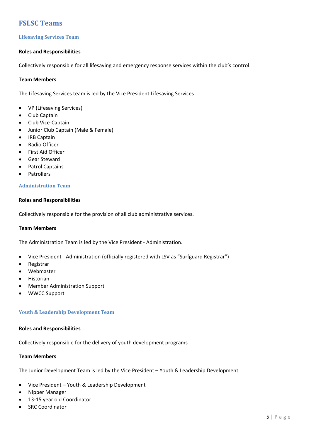# **FSLSC Teams**

# **Lifesaving Services Team**

# **Roles and Responsibilities**

Collectively responsible for all lifesaving and emergency response services within the club's control.

#### **Team Members**

The Lifesaving Services team is led by the Vice President Lifesaving Services

- VP (Lifesaving Services)
- Club Captain
- Club Vice‐Captain
- Junior Club Captain (Male & Female)
- IRB Captain
- Radio Officer
- First Aid Officer
- Gear Steward
- Patrol Captains
- Patrollers

#### **Administration Team**

#### **Roles and Responsibilities**

Collectively responsible for the provision of all club administrative services.

#### **Team Members**

The Administration Team is led by the Vice President ‐ Administration.

- Vice President ‐ Administration (officially registered with LSV as "Surfguard Registrar")
- Registrar
- Webmaster
- Historian
- Member Administration Support
- WWCC Support

#### **Youth & Leadership Development Team**

#### **Roles and Responsibilities**

Collectively responsible for the delivery of youth development programs

#### **Team Members**

The Junior Development Team is led by the Vice President – Youth & Leadership Development.

- Vice President Youth & Leadership Development
- Nipper Manager
- 13‐15 year old Coordinator
- SRC Coordinator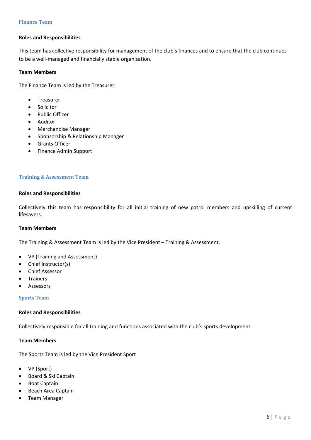#### **Roles and Responsibilities**

This team has collective responsibility for management of the club's finances and to ensure that the club continues to be a well‐managed and financially stable organisation.

#### **Team Members**

The Finance Team is led by the Treasurer.

- Treasurer
- Solicitor
- Public Officer
- Auditor
- Merchandise Manager
- Sponsorship & Relationship Manager
- Grants Officer
- Finance Admin Support

#### **Training & Assessment Team**

#### **Roles and Responsibilities**

Collectively this team has responsibility for all initial training of new patrol members and upskilling of current lifesavers.

#### **Team Members**

The Training & Assessment Team is led by the Vice President – Training & Assessment.

- VP (Training and Assessment)
- Chief Instructor(s)
- Chief Assessor
- Trainers
- Assessors

#### **Sports Team**

#### **Roles and Responsibilities**

Collectively responsible for all training and functions associated with the club's sports development

#### **Team Members**

The Sports Team is led by the Vice President Sport

- VP (Sport)
- Board & Ski Captain
- Boat Captain
- Beach Area Captain
- Team Manager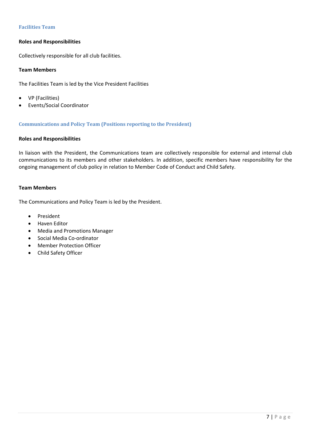# **Facilities Team**

# **Roles and Responsibilities**

Collectively responsible for all club facilities.

# **Team Members**

The Facilities Team is led by the Vice President Facilities

- VP (Facilities)
- Events/Social Coordinator

# **Communications and Policy Team (Positions reporting to the President)**

# **Roles and Responsibilities**

In liaison with the President, the Communications team are collectively responsible for external and internal club communications to its members and other stakeholders. In addition, specific members have responsibility for the ongoing management of club policy in relation to Member Code of Conduct and Child Safety.

#### **Team Members**

The Communications and Policy Team is led by the President.

- President
- Haven Editor
- Media and Promotions Manager
- Social Media Co-ordinator
- Member Protection Officer
- Child Safety Officer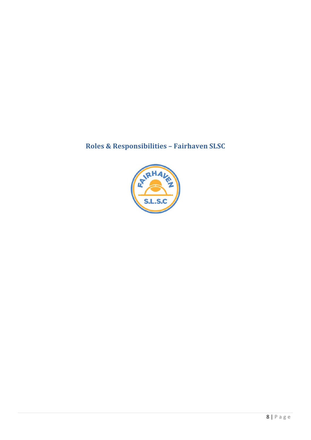# **Roles & Responsibilities – Fairhaven SLSC**

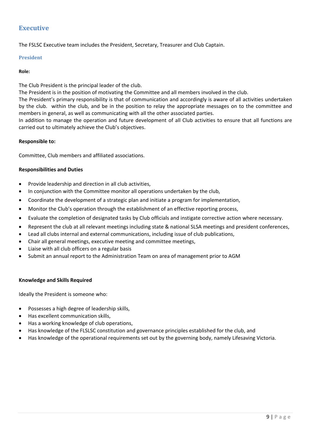# **Executive**

The FSLSC Executive team includes the President, Secretary, Treasurer and Club Captain.

#### **President**

#### **Role:**

The Club President is the principal leader of the club.

The President is in the position of motivating the Committee and all members involved in the club.

The President's primary responsibility is that of communication and accordingly is aware of all activities undertaken by the club. within the club, and be in the position to relay the appropriate messages on to the committee and members in general, as well as communicating with all the other associated parties.

In addition to manage the operation and future development of all Club activities to ensure that all functions are carried out to ultimately achieve the Club's objectives.

#### **Responsible to:**

Committee, Club members and affiliated associations.

#### **Responsibilities and Duties**

- Provide leadership and direction in all club activities,
- In conjunction with the Committee monitor all operations undertaken by the club,
- Coordinate the development of a strategic plan and initiate a program for implementation,
- Monitor the Club's operation through the establishment of an effective reporting process,
- Evaluate the completion of designated tasks by Club officials and instigate corrective action where necessary.
- Represent the club at all relevant meetings including state & national SLSA meetings and president conferences,
- Lead all clubs internal and external communications, including issue of club publications,
- Chair all general meetings, executive meeting and committee meetings,
- Liaise with all club officers on a regular basis
- Submit an annual report to the Administration Team on area of management prior to AGM

#### **Knowledge and Skills Required**

Ideally the President is someone who:

- Possesses a high degree of leadership skills,
- Has excellent communication skills,
- Has a working knowledge of club operations,
- Has knowledge of the FLSLSC constitution and governance principles established for the club, and
- Has knowledge of the operational requirements set out by the governing body, namely Lifesaving Victoria.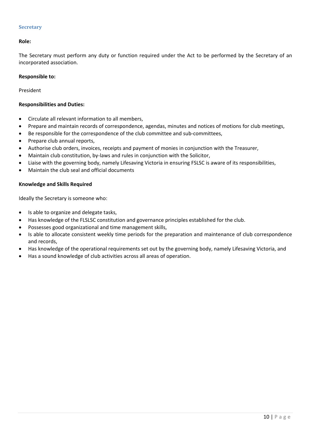#### **Secretary**

# **Role:**

The Secretary must perform any duty or function required under the Act to be performed by the Secretary of an incorporated association.

# **Responsible to:**

President

# **Responsibilities and Duties:**

- Circulate all relevant information to all members,
- Prepare and maintain records of correspondence, agendas, minutes and notices of motions for club meetings,
- Be responsible for the correspondence of the club committee and sub‐committees,
- Prepare club annual reports,
- Authorise club orders, invoices, receipts and payment of monies in conjunction with the Treasurer,
- Maintain club constitution, by‐laws and rules in conjunction with the Solicitor,
- Liaise with the governing body, namely Lifesaving Victoria in ensuring FSLSC is aware of its responsibilities,
- Maintain the club seal and official documents

# **Knowledge and Skills Required**

Ideally the Secretary is someone who:

- Is able to organize and delegate tasks,
- Has knowledge of the FLSLSC constitution and governance principles established for the club.
- Possesses good organizational and time management skills,
- Is able to allocate consistent weekly time periods for the preparation and maintenance of club correspondence and records,
- Has knowledge of the operational requirements set out by the governing body, namely Lifesaving Victoria, and
- Has a sound knowledge of club activities across all areas of operation.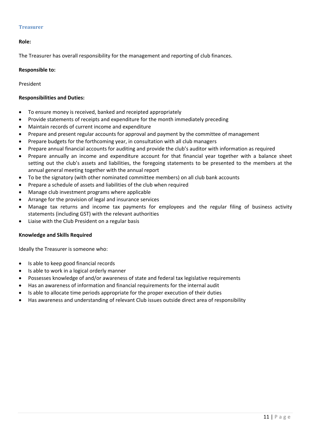#### **Treasurer**

#### **Role:**

The Treasurer has overall responsibility for the management and reporting of club finances.

#### **Responsible to:**

President

# **Responsibilities and Duties:**

- To ensure money is received, banked and receipted appropriately
- Provide statements of receipts and expenditure for the month immediately preceding
- Maintain records of current income and expenditure
- Prepare and present regular accounts for approval and payment by the committee of management
- Prepare budgets for the forthcoming year, in consultation with all club managers
- Prepare annual financial accounts for auditing and provide the club's auditor with information as required
- Prepare annually an income and expenditure account for that financial year together with a balance sheet setting out the club's assets and liabilities, the foregoing statements to be presented to the members at the annual general meeting together with the annual report
- To be the signatory (with other nominated committee members) on all club bank accounts
- Prepare a schedule of assets and liabilities of the club when required
- Manage club investment programs where applicable
- Arrange for the provision of legal and insurance services
- Manage tax returns and income tax payments for employees and the regular filing of business activity statements (including GST) with the relevant authorities
- Liaise with the Club President on a regular basis

#### **Knowledge and Skills Required**

Ideally the Treasurer is someone who:

- Is able to keep good financial records
- Is able to work in a logical orderly manner
- Possesses knowledge of and/or awareness of state and federal tax legislative requirements
- Has an awareness of information and financial requirements for the internal audit
- Is able to allocate time periods appropriate for the proper execution of their duties
- Has awareness and understanding of relevant Club issues outside direct area of responsibility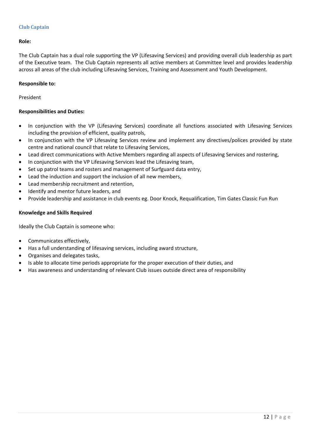# **Club Captain**

# **Role:**

The Club Captain has a dual role supporting the VP (Lifesaving Services) and providing overall club leadership as part of the Executive team. The Club Captain represents all active members at Committee level and provides leadership across all areas of the club including Lifesaving Services, Training and Assessment and Youth Development.

# **Responsible to:**

# President

# **Responsibilities and Duties:**

- In conjunction with the VP (Lifesaving Services) coordinate all functions associated with Lifesaving Services including the provision of efficient, quality patrols,
- In conjunction with the VP Lifesaving Services review and implement any directives/polices provided by state centre and national council that relate to Lifesaving Services,
- Lead direct communications with Active Members regarding all aspects of Lifesaving Services and rostering,
- In conjunction with the VP Lifesaving Services lead the Lifesaving team,
- Set up patrol teams and rosters and management of Surfguard data entry,
- Lead the induction and support the inclusion of all new members,
- Lead membership recruitment and retention,
- Identify and mentor future leaders, and
- Provide leadership and assistance in club events eg. Door Knock, Requalification, Tim Gates Classic Fun Run

# **Knowledge and Skills Required**

Ideally the Club Captain is someone who:

- Communicates effectively,
- Has a full understanding of lifesaving services, including award structure,
- Organises and delegates tasks,
- Is able to allocate time periods appropriate for the proper execution of their duties, and
- Has awareness and understanding of relevant Club issues outside direct area of responsibility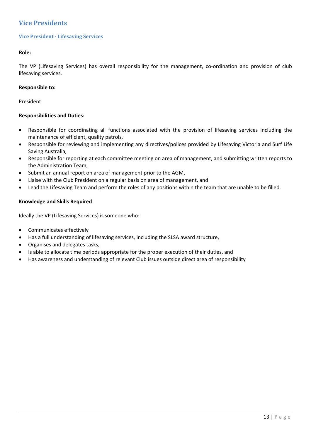# **Vice Presidents**

# **Vice President - Lifesaving Services**

# **Role:**

The VP (Lifesaving Services) has overall responsibility for the management, co-ordination and provision of club lifesaving services.

# **Responsible to:**

# President

# **Responsibilities and Duties:**

- Responsible for coordinating all functions associated with the provision of lifesaving services including the maintenance of efficient, quality patrols,
- Responsible for reviewing and implementing any directives/polices provided by Lifesaving Victoria and Surf Life Saving Australia,
- Responsible for reporting at each committee meeting on area of management, and submitting written reports to the Administration Team,
- Submit an annual report on area of management prior to the AGM,
- Liaise with the Club President on a regular basis on area of management, and
- Lead the Lifesaving Team and perform the roles of any positions within the team that are unable to be filled.

# **Knowledge and Skills Required**

Ideally the VP (Lifesaving Services) is someone who:

- Communicates effectively
- Has a full understanding of lifesaving services, including the SLSA award structure,
- Organises and delegates tasks,
- Is able to allocate time periods appropriate for the proper execution of their duties, and
- Has awareness and understanding of relevant Club issues outside direct area of responsibility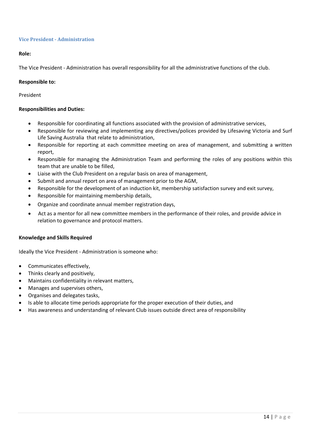#### **Vice President - Administration**

# **Role:**

The Vice President ‐ Administration has overall responsibility for all the administrative functions of the club.

#### **Responsible to:**

President

# **Responsibilities and Duties:**

- Responsible for coordinating all functions associated with the provision of administrative services,
- Responsible for reviewing and implementing any directives/polices provided by Lifesaving Victoria and Surf Life Saving Australia that relate to administration,
- Responsible for reporting at each committee meeting on area of management, and submitting a written report,
- Responsible for managing the Administration Team and performing the roles of any positions within this team that are unable to be filled,
- Liaise with the Club President on a regular basis on area of management,
- Submit and annual report on area of management prior to the AGM,
- Responsible for the development of an induction kit, membership satisfaction survey and exit survey,
- Responsible for maintaining membership details,
- Organize and coordinate annual member registration days,
- Act as a mentor for all new committee members in the performance of their roles, and provide advice in relation to governance and protocol matters.

#### **Knowledge and Skills Required**

Ideally the Vice President ‐ Administration is someone who:

- Communicates effectively,
- Thinks clearly and positively,
- Maintains confidentiality in relevant matters,
- Manages and supervises others,
- Organises and delegates tasks,
- Is able to allocate time periods appropriate for the proper execution of their duties, and
- Has awareness and understanding of relevant Club issues outside direct area of responsibility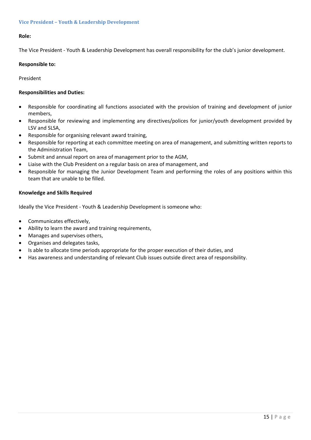# **Role:**

The Vice President ‐ Youth & Leadership Development has overall responsibility for the club's junior development.

#### **Responsible to:**

President

# **Responsibilities and Duties:**

- Responsible for coordinating all functions associated with the provision of training and development of junior members,
- Responsible for reviewing and implementing any directives/polices for junior/youth development provided by LSV and SLSA,
- Responsible for organising relevant award training,
- Responsible for reporting at each committee meeting on area of management, and submitting written reports to the Administration Team,
- Submit and annual report on area of management prior to the AGM,
- Liaise with the Club President on a regular basis on area of management, and
- Responsible for managing the Junior Development Team and performing the roles of any positions within this team that are unable to be filled.

# **Knowledge and Skills Required**

Ideally the Vice President ‐ Youth & Leadership Development is someone who:

- Communicates effectively,
- Ability to learn the award and training requirements,
- Manages and supervises others,
- Organises and delegates tasks,
- Is able to allocate time periods appropriate for the proper execution of their duties, and
- Has awareness and understanding of relevant Club issues outside direct area of responsibility.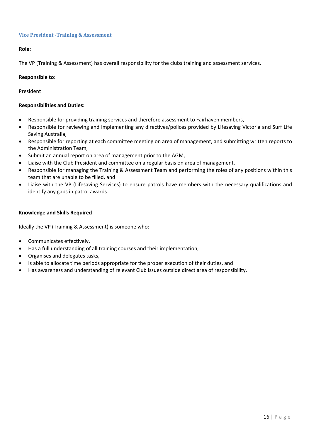# **Vice President ‐Training & Assessment**

# **Role:**

The VP (Training & Assessment) has overall responsibility for the clubs training and assessment services.

#### **Responsible to:**

#### President

#### **Responsibilities and Duties:**

- Responsible for providing training services and therefore assessment to Fairhaven members,
- Responsible for reviewing and implementing any directives/polices provided by Lifesaving Victoria and Surf Life Saving Australia,
- Responsible for reporting at each committee meeting on area of management, and submitting written reports to the Administration Team,
- Submit an annual report on area of management prior to the AGM,
- Liaise with the Club President and committee on a regular basis on area of management,
- Responsible for managing the Training & Assessment Team and performing the roles of any positions within this team that are unable to be filled, and
- Liaise with the VP (Lifesaving Services) to ensure patrols have members with the necessary qualifications and identify any gaps in patrol awards.

#### **Knowledge and Skills Required**

Ideally the VP (Training & Assessment) is someone who:

- Communicates effectively,
- Has a full understanding of all training courses and their implementation,
- Organises and delegates tasks,
- Is able to allocate time periods appropriate for the proper execution of their duties, and
- Has awareness and understanding of relevant Club issues outside direct area of responsibility.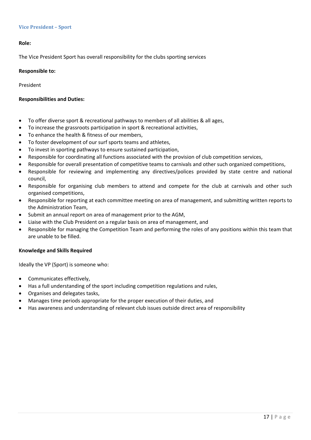#### **Vice President – Sport**

#### **Role:**

The Vice President Sport has overall responsibility for the clubs sporting services

#### **Responsible to:**

President

#### **Responsibilities and Duties:**

- To offer diverse sport & recreational pathways to members of all abilities & all ages,
- To increase the grassroots participation in sport & recreational activities,
- To enhance the health & fitness of our members,
- To foster development of our surf sports teams and athletes,
- To invest in sporting pathways to ensure sustained participation,
- Responsible for coordinating all functions associated with the provision of club competition services,
- Responsible for overall presentation of competitive teams to carnivals and other such organized competitions,
- Responsible for reviewing and implementing any directives/polices provided by state centre and national council,
- Responsible for organising club members to attend and compete for the club at carnivals and other such organised competitions,
- Responsible for reporting at each committee meeting on area of management, and submitting written reports to the Administration Team,
- Submit an annual report on area of management prior to the AGM,
- Liaise with the Club President on a regular basis on area of management, and
- Responsible for managing the Competition Team and performing the roles of any positions within this team that are unable to be filled.

#### **Knowledge and Skills Required**

Ideally the VP (Sport) is someone who:

- Communicates effectively,
- Has a full understanding of the sport including competition regulations and rules,
- Organises and delegates tasks,
- Manages time periods appropriate for the proper execution of their duties, and
- Has awareness and understanding of relevant club issues outside direct area of responsibility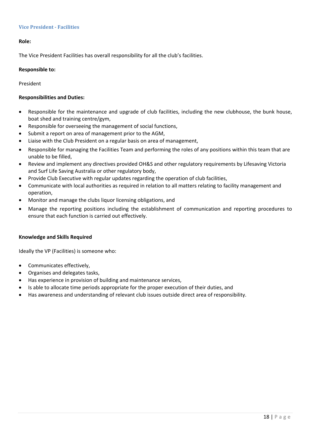# **Vice President** - **Facilities**

# **Role:**

The Vice President Facilities has overall responsibility for all the club's facilities.

#### **Responsible to:**

President

#### **Responsibilities and Duties:**

- Responsible for the maintenance and upgrade of club facilities, including the new clubhouse, the bunk house, boat shed and training centre/gym,
- Responsible for overseeing the management of social functions,
- Submit a report on area of management prior to the AGM,
- Liaise with the Club President on a regular basis on area of management,
- Responsible for managing the Facilities Team and performing the roles of any positions within this team that are unable to be filled,
- Review and implement any directives provided OH&S and other regulatory requirements by Lifesaving Victoria and Surf Life Saving Australia or other regulatory body,
- Provide Club Executive with regular updates regarding the operation of club facilities,
- Communicate with local authorities as required in relation to all matters relating to facility management and operation,
- Monitor and manage the clubs liquor licensing obligations, and
- Manage the reporting positions including the establishment of communication and reporting procedures to ensure that each function is carried out effectively.

#### **Knowledge and Skills Required**

Ideally the VP (Facilities) is someone who:

- Communicates effectively,
- Organises and delegates tasks,
- Has experience in provision of building and maintenance services,
- Is able to allocate time periods appropriate for the proper execution of their duties, and
- Has awareness and understanding of relevant club issues outside direct area of responsibility.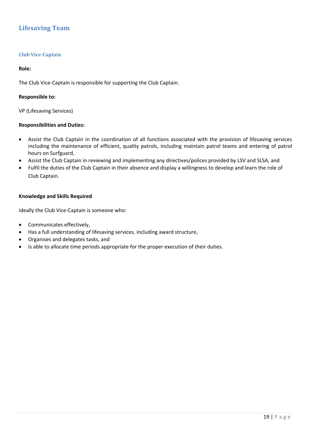# **Lifesaving Team**

# **Club Vice‐Captain**

#### **Role:**

The Club Vice-Captain is responsible for supporting the Club Captain.

#### **Responsible to:**

VP (Lifesaving Services)

# **Responsibilities and Duties:**

- Assist the Club Captain in the coordination of all functions associated with the provision of lifesaving services including the maintenance of efficient, quality patrols, including maintain patrol teams and entering of patrol hours on Surfguard,
- Assist the Club Captain in reviewing and implementing any directives/polices provided by LSV and SLSA, and
- Fulfil the duties of the Club Captain in their absence and display a willingness to develop and learn the role of Club Captain.

#### **Knowledge and Skills Required**

Ideally the Club Vice‐Captain is someone who:

- Communicates effectively,
- Has a full understanding of lifesaving services, including award structure,
- Organises and delegates tasks, and
- Is able to allocate time periods appropriate for the proper execution of their duties.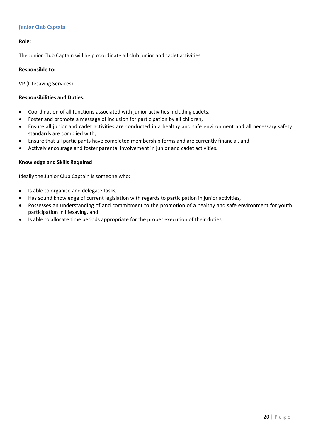# **Junior Club Captain**

# **Role:**

The Junior Club Captain will help coordinate all club junior and cadet activities.

#### **Responsible to:**

VP (Lifesaving Services)

# **Responsibilities and Duties:**

- Coordination of all functions associated with junior activities including cadets,
- Foster and promote a message of inclusion for participation by all children,
- Ensure all junior and cadet activities are conducted in a healthy and safe environment and all necessary safety standards are complied with,
- Ensure that all participants have completed membership forms and are currently financial, and
- Actively encourage and foster parental involvement in junior and cadet activities.

# **Knowledge and Skills Required**

Ideally the Junior Club Captain is someone who:

- Is able to organise and delegate tasks,
- Has sound knowledge of current legislation with regards to participation in junior activities,
- Possesses an understanding of and commitment to the promotion of a healthy and safe environment for youth participation in lifesaving, and
- Is able to allocate time periods appropriate for the proper execution of their duties.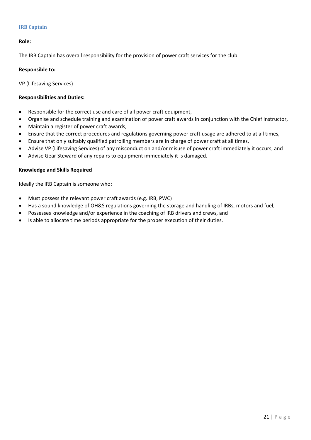# **IRB Captain**

# **Role:**

The IRB Captain has overall responsibility for the provision of power craft services for the club.

#### **Responsible to:**

VP (Lifesaving Services)

#### **Responsibilities and Duties:**

- Responsible for the correct use and care of all power craft equipment,
- Organise and schedule training and examination of power craft awards in conjunction with the Chief Instructor,
- Maintain a register of power craft awards,
- Ensure that the correct procedures and regulations governing power craft usage are adhered to at all times,
- Ensure that only suitably qualified patrolling members are in charge of power craft at all times,
- Advise VP (Lifesaving Services) of any misconduct on and/or misuse of power craft immediately it occurs, and
- Advise Gear Steward of any repairs to equipment immediately it is damaged.

#### **Knowledge and Skills Required**

Ideally the IRB Captain is someone who:

- Must possess the relevant power craft awards (e.g. IRB, PWC)
- Has a sound knowledge of OH&S regulations governing the storage and handling of IRBs, motors and fuel,
- Possesses knowledge and/or experience in the coaching of IRB drivers and crews, and
- Is able to allocate time periods appropriate for the proper execution of their duties.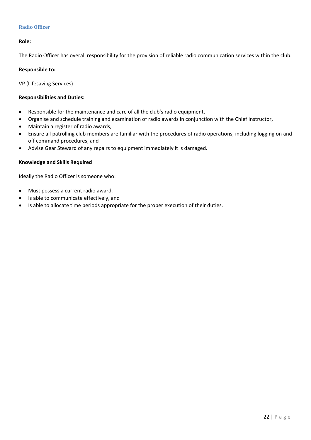# **Radio Officer**

# **Role:**

The Radio Officer has overall responsibility for the provision of reliable radio communication services within the club.

#### **Responsible to:**

VP (Lifesaving Services)

# **Responsibilities and Duties:**

- Responsible for the maintenance and care of all the club's radio equipment,
- Organise and schedule training and examination of radio awards in conjunction with the Chief Instructor,
- Maintain a register of radio awards,
- Ensure all patrolling club members are familiar with the procedures of radio operations, including logging on and off command procedures, and
- Advise Gear Steward of any repairs to equipment immediately it is damaged.

# **Knowledge and Skills Required**

Ideally the Radio Officer is someone who:

- Must possess a current radio award,
- Is able to communicate effectively, and
- Is able to allocate time periods appropriate for the proper execution of their duties.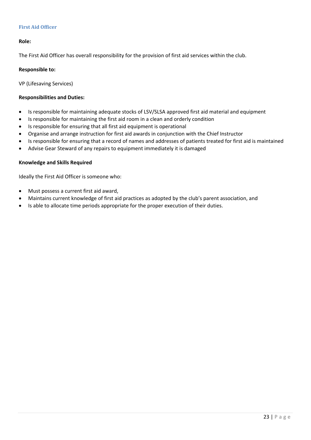# **First Aid Officer**

# **Role:**

The First Aid Officer has overall responsibility for the provision of first aid services within the club.

#### **Responsible to:**

VP (Lifesaving Services)

#### **Responsibilities and Duties:**

- Is responsible for maintaining adequate stocks of LSV/SLSA approved first aid material and equipment
- Is responsible for maintaining the first aid room in a clean and orderly condition
- Is responsible for ensuring that all first aid equipment is operational
- Organise and arrange instruction for first aid awards in conjunction with the Chief Instructor
- Is responsible for ensuring that a record of names and addresses of patients treated for first aid is maintained
- Advise Gear Steward of any repairs to equipment immediately it is damaged

#### **Knowledge and Skills Required**

Ideally the First Aid Officer is someone who:

- Must possess a current first aid award,
- Maintains current knowledge of first aid practices as adopted by the club's parent association, and
- Is able to allocate time periods appropriate for the proper execution of their duties.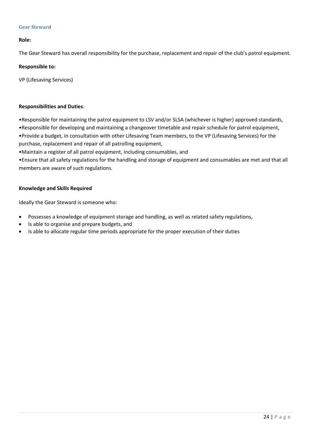# **Gear Steward**

# **Role:**

The Gear Steward has overall responsibility for the purchase, replacement and repair of the club's patrol equipment.

# **Responsible to:**

VP (Lifesaving Services)

# **Responsibilities and Duties**:

•Responsible for maintaining the patrol equipment to LSV and/or SLSA (whichever is higher) approved standards, •Responsible for developing and maintaining a changeover timetable and repair schedule for patrol equipment, •Provide a budget, in consultation with other Lifesaving Team members, to the VP (Lifesaving Services) for the purchase, replacement and repair of all patrolling equipment,

•Maintain a register of all patrol equipment, including consumables, and

•Ensure that all safety regulations for the handling and storage of equipment and consumables are met and that all members are aware of such regulations.

# **Knowledge and Skills Required**

Ideally the Gear Steward is someone who:

- Possesses a knowledge of equipment storage and handling, as well as related safety regulations,
- Is able to organise and prepare budgets, and
- Is able to allocate regular time periods appropriate for the proper execution of their duties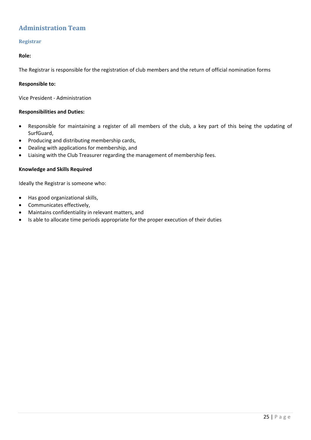# **Administration Team**

# **Registrar**

# **Role:**

The Registrar is responsible for the registration of club members and the return of official nomination forms

# **Responsible to:**

Vice President ‐ Administration

# **Responsibilities and Duties:**

- Responsible for maintaining a register of all members of the club, a key part of this being the updating of SurfGuard,
- Producing and distributing membership cards,
- Dealing with applications for membership, and
- Liaising with the Club Treasurer regarding the management of membership fees.

#### **Knowledge and Skills Required**

Ideally the Registrar is someone who:

- Has good organizational skills,
- Communicates effectively,
- Maintains confidentiality in relevant matters, and
- Is able to allocate time periods appropriate for the proper execution of their duties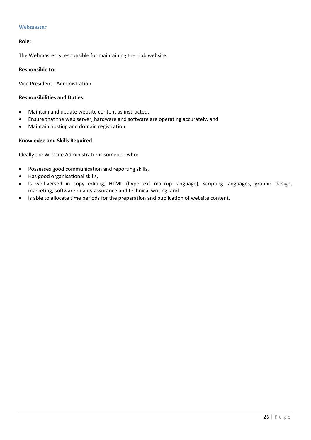# **Webmaster**

#### **Role:**

The Webmaster is responsible for maintaining the club website.

#### **Responsible to:**

Vice President ‐ Administration

#### **Responsibilities and Duties:**

- Maintain and update website content as instructed,
- Ensure that the web server, hardware and software are operating accurately, and
- Maintain hosting and domain registration.

# **Knowledge and Skills Required**

Ideally the Website Administrator is someone who:

- Possesses good communication and reporting skills,
- Has good organisational skills,
- Is well-versed in copy editing, HTML (hypertext markup language), scripting languages, graphic design, marketing, software quality assurance and technical writing, and
- Is able to allocate time periods for the preparation and publication of website content.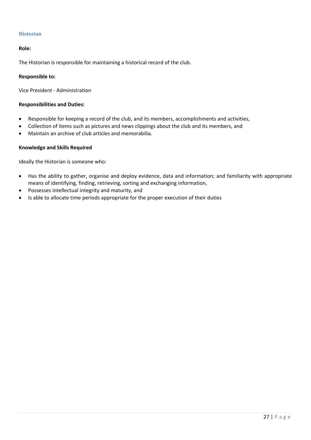# **Historian**

# **Role:**

The Historian is responsible for maintaining a historical record of the club.

#### **Responsible to:**

Vice President ‐ Administration

# **Responsibilities and Duties:**

- Responsible for keeping a record of the club, and its members, accomplishments and activities,
- Collection of items such as pictures and news clippings about the club and its members, and
- Maintain an archive of club articles and memorabilia.

# **Knowledge and Skills Required**

Ideally the Historian is someone who:

- Has the ability to gather, organise and deploy evidence, data and information; and familiarity with appropriate means of identifying, finding, retrieving, sorting and exchanging information,
- Possesses intellectual integrity and maturity, and
- Is able to allocate time periods appropriate for the proper execution of their duties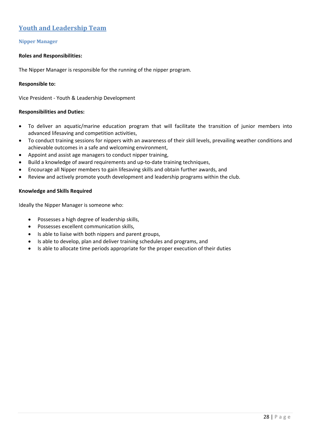# **Youth and Leadership Team**

# **Nipper Manager**

#### **Roles and Responsibilities:**

The Nipper Manager is responsible for the running of the nipper program.

# **Responsible to:**

Vice President ‐ Youth & Leadership Development

# **Responsibilities and Duties:**

- To deliver an aquatic/marine education program that will facilitate the transition of junior members into advanced lifesaving and competition activities,
- To conduct training sessions for nippers with an awareness of their skill levels, prevailing weather conditions and achievable outcomes in a safe and welcoming environment,
- Appoint and assist age managers to conduct nipper training,
- Build a knowledge of award requirements and up‐to‐date training techniques,
- Encourage all Nipper members to gain lifesaving skills and obtain further awards, and
- Review and actively promote youth development and leadership programs within the club.

# **Knowledge and Skills Required**

Ideally the Nipper Manager is someone who:

- Possesses a high degree of leadership skills,
- Possesses excellent communication skills,
- Is able to liaise with both nippers and parent groups,
- Is able to develop, plan and deliver training schedules and programs, and
- Is able to allocate time periods appropriate for the proper execution of their duties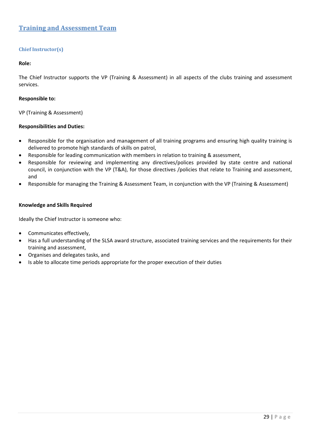# **Training and Assessment Team**

# **Chief Instructor(s)**

#### **Role:**

The Chief Instructor supports the VP (Training & Assessment) in all aspects of the clubs training and assessment services.

#### **Responsible to:**

VP (Training & Assessment)

#### **Responsibilities and Duties:**

- Responsible for the organisation and management of all training programs and ensuring high quality training is delivered to promote high standards of skills on patrol,
- Responsible for leading communication with members in relation to training & assessment,
- Responsible for reviewing and implementing any directives/polices provided by state centre and national council, in conjunction with the VP (T&A), for those directives /policies that relate to Training and assessment, and
- Responsible for managing the Training & Assessment Team, in conjunction with the VP (Training & Assessment)

#### **Knowledge and Skills Required**

Ideally the Chief Instructor is someone who:

- Communicates effectively,
- Has a full understanding of the SLSA award structure, associated training services and the requirements for their training and assessment,
- Organises and delegates tasks, and
- Is able to allocate time periods appropriate for the proper execution of their duties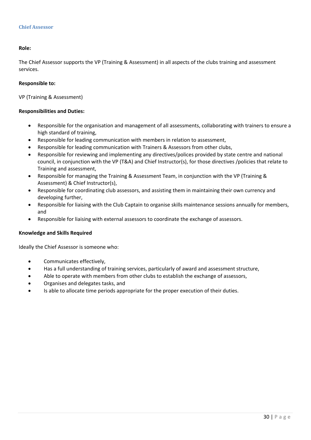#### **Role:**

The Chief Assessor supports the VP (Training & Assessment) in all aspects of the clubs training and assessment services.

#### **Responsible to:**

VP (Training & Assessment)

#### **Responsibilities and Duties:**

- Responsible for the organisation and management of all assessments, collaborating with trainers to ensure a high standard of training,
- Responsible for leading communication with members in relation to assessment,
- Responsible for leading communication with Trainers & Assessors from other clubs,
- Responsible for reviewing and implementing any directives/polices provided by state centre and national council, in conjunction with the VP (T&A) and Chief Instructor(s), for those directives /policies that relate to Training and assessment,
- Responsible for managing the Training & Assessment Team, in conjunction with the VP (Training & Assessment) & Chief Instructor(s),
- Responsible for coordinating club assessors, and assisting them in maintaining their own currency and developing further,
- Responsible for liaising with the Club Captain to organise skills maintenance sessions annually for members, and
- Responsible for liaising with external assessors to coordinate the exchange of assessors.

#### **Knowledge and Skills Required**

Ideally the Chief Assessor is someone who:

- Communicates effectively,
- Has a full understanding of training services, particularly of award and assessment structure,
- Able to operate with members from other clubs to establish the exchange of assessors,
- Organises and delegates tasks, and
- Is able to allocate time periods appropriate for the proper execution of their duties.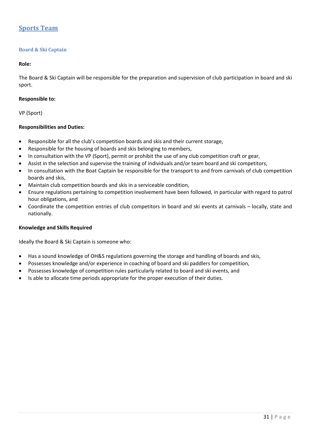# **Sports Team**

# **Board & Ski Captain**

#### **Role:**

The Board & Ski Captain will be responsible for the preparation and supervision of club participation in board and ski sport.

#### **Responsible to:**

VP (Sport)

# **Responsibilities and Duties:**

- Responsible for all the club's competition boards and skis and their current storage,
- Responsible for the housing of boards and skis belonging to members,
- In consultation with the VP (Sport), permit or prohibit the use of any club competition craft or gear,
- Assist in the selection and supervise the training of individuals and/or team board and ski competitors,
- In consultation with the Boat Captain be responsible for the transport to and from carnivals of club competition boards and skis,
- Maintain club competition boards and skis in a serviceable condition,
- Ensure regulations pertaining to competition involvement have been followed, in particular with regard to patrol hour obligations, and
- Coordinate the competition entries of club competitors in board and ski events at carnivals locally, state and nationally.

#### **Knowledge and Skills Required**

Ideally the Board & Ski Captain is someone who:

- Has a sound knowledge of OH&S regulations governing the storage and handling of boards and skis,
- Possesses knowledge and/or experience in coaching of board and ski paddlers for competition,
- Possesses knowledge of competition rules particularly related to board and ski events, and
- Is able to allocate time periods appropriate for the proper execution of their duties.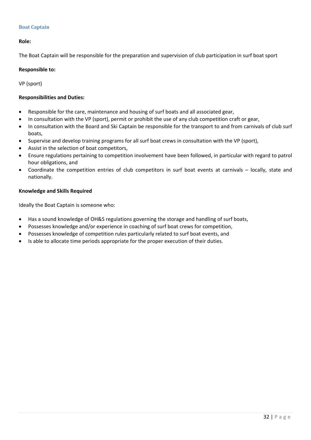# **Boat Captain**

# **Role:**

The Boat Captain will be responsible for the preparation and supervision of club participation in surf boat sport

#### **Responsible to:**

VP (sport)

# **Responsibilities and Duties:**

- Responsible for the care, maintenance and housing of surf boats and all associated gear,
- In consultation with the VP (sport), permit or prohibit the use of any club competition craft or gear,
- In consultation with the Board and Ski Captain be responsible for the transport to and from carnivals of club surf boats,
- Supervise and develop training programs for all surf boat crews in consultation with the VP (sport),
- Assist in the selection of boat competitors,
- Ensure regulations pertaining to competition involvement have been followed, in particular with regard to patrol hour obligations, and
- Coordinate the competition entries of club competitors in surf boat events at carnivals locally, state and nationally.

# **Knowledge and Skills Required**

Ideally the Boat Captain is someone who:

- Has a sound knowledge of OH&S regulations governing the storage and handling of surf boats,
- Possesses knowledge and/or experience in coaching of surf boat crews for competition,
- Possesses knowledge of competition rules particularly related to surf boat events, and
- Is able to allocate time periods appropriate for the proper execution of their duties.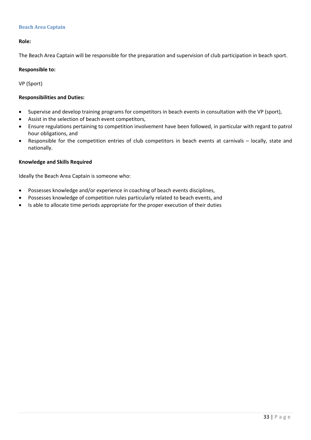# **Beach Area Captain**

# **Role:**

The Beach Area Captain will be responsible for the preparation and supervision of club participation in beach sport.

#### **Responsible to:**

VP (Sport)

# **Responsibilities and Duties:**

- Supervise and develop training programs for competitors in beach events in consultation with the VP (sport),
- Assist in the selection of beach event competitors,
- Ensure regulations pertaining to competition involvement have been followed, in particular with regard to patrol hour obligations, and
- Responsible for the competition entries of club competitors in beach events at carnivals locally, state and nationally.

# **Knowledge and Skills Required**

Ideally the Beach Area Captain is someone who:

- Possesses knowledge and/or experience in coaching of beach events disciplines,
- Possesses knowledge of competition rules particularly related to beach events, and
- Is able to allocate time periods appropriate for the proper execution of their duties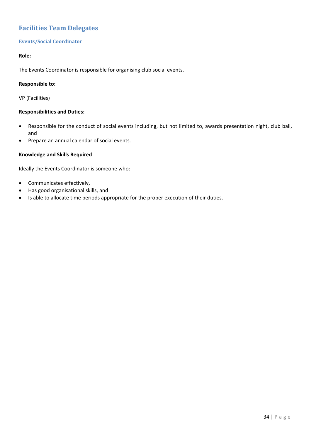# **Facilities Team Delegates**

# **Events/Social Coordinator**

# **Role:**

The Events Coordinator is responsible for organising club social events.

# **Responsible to:**

VP (Facilities)

# **Responsibilities and Duties:**

- Responsible for the conduct of social events including, but not limited to, awards presentation night, club ball, and
- Prepare an annual calendar of social events.

# **Knowledge and Skills Required**

Ideally the Events Coordinator is someone who:

- Communicates effectively,
- Has good organisational skills, and
- Is able to allocate time periods appropriate for the proper execution of their duties.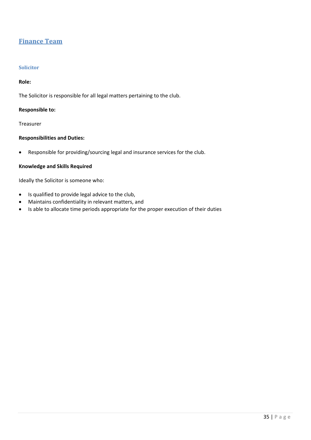# **Finance Team**

# **Solicitor**

# **Role:**

The Solicitor is responsible for all legal matters pertaining to the club.

# **Responsible to:**

Treasurer

# **Responsibilities and Duties:**

Responsible for providing/sourcing legal and insurance services for the club.

# **Knowledge and Skills Required**

Ideally the Solicitor is someone who:

- Is qualified to provide legal advice to the club,
- Maintains confidentiality in relevant matters, and
- Is able to allocate time periods appropriate for the proper execution of their duties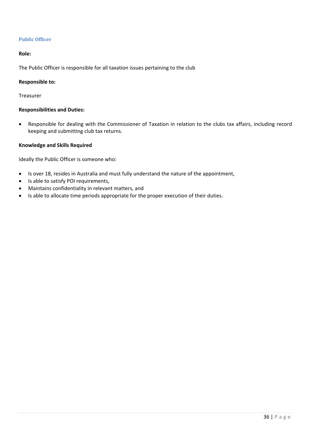# **Public Officer**

#### **Role:**

The Public Officer is responsible for all taxation issues pertaining to the club

#### **Responsible to:**

Treasurer

# **Responsibilities and Duties:**

 Responsible for dealing with the Commissioner of Taxation in relation to the clubs tax affairs, including record keeping and submitting club tax returns.

#### **Knowledge and Skills Required**

Ideally the Public Officer is someone who:

- Is over 18, resides in Australia and must fully understand the nature of the appointment,
- Is able to satisfy POI requirements,
- Maintains confidentiality in relevant matters, and
- Is able to allocate time periods appropriate for the proper execution of their duties.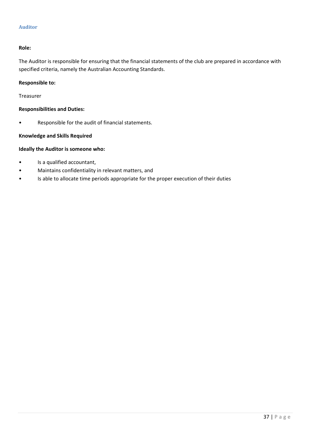# **Auditor**

# **Role:**

The Auditor is responsible for ensuring that the financial statements of the club are prepared in accordance with specified criteria, namely the Australian Accounting Standards.

# **Responsible to:**

Treasurer

# **Responsibilities and Duties:**

• Responsible for the audit of financial statements.

# **Knowledge and Skills Required**

# **Ideally the Auditor is someone who:**

- Is a qualified accountant,
- Maintains confidentiality in relevant matters, and
- Is able to allocate time periods appropriate for the proper execution of their duties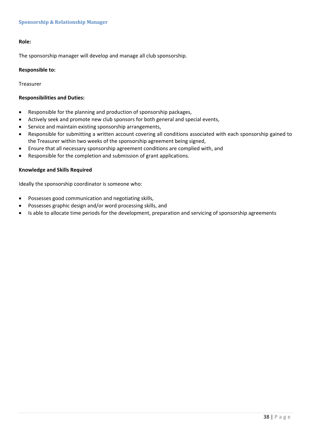# **Role:**

The sponsorship manager will develop and manage all club sponsorship.

#### **Responsible to:**

Treasurer

#### **Responsibilities and Duties:**

- Responsible for the planning and production of sponsorship packages,
- Actively seek and promote new club sponsors for both general and special events,
- Service and maintain existing sponsorship arrangements,
- Responsible for submitting a written account covering all conditions associated with each sponsorship gained to the Treasurer within two weeks of the sponsorship agreement being signed,
- Ensure that all necessary sponsorship agreement conditions are complied with, and
- Responsible for the completion and submission of grant applications.

#### **Knowledge and Skills Required**

Ideally the sponsorship coordinator is someone who:

- Possesses good communication and negotiating skills,
- Possesses graphic design and/or word processing skills, and
- Is able to allocate time periods for the development, preparation and servicing of sponsorship agreements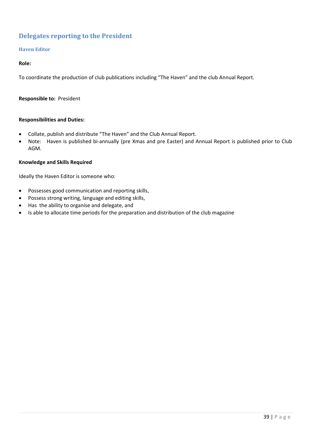# **Delegates reporting to the President**

# **Haven Editor**

# **Role:**

To coordinate the production of club publications including "The Haven" and the club Annual Report.

#### **Responsible to: President**

#### **Responsibilities and Duties:**

- Collate, publish and distribute "The Haven" and the Club Annual Report.
- Note: Haven is published bi-annually (pre Xmas and pre Easter) and Annual Report is published prior to Club AGM.

#### **Knowledge and Skills Required**

Ideally the Haven Editor is someone who:

- Possesses good communication and reporting skills,
- Possess strong writing, language and editing skills,
- Has the ability to organise and delegate, and
- Is able to allocate time periods for the preparation and distribution of the club magazine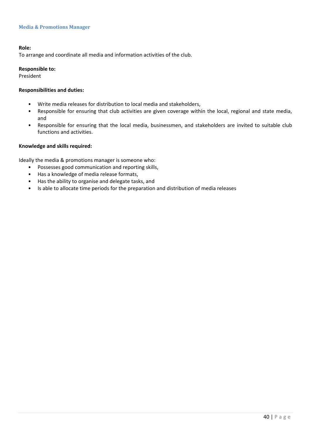#### **Media & Promotions Manager**

#### **Role:**

To arrange and coordinate all media and information activities of the club.

#### **Responsible to:**

President

# **Responsibilities and duties:**

- Write media releases for distribution to local media and stakeholders,
- Responsible for ensuring that club activities are given coverage within the local, regional and state media, and
- Responsible for ensuring that the local media, businessmen, and stakeholders are invited to suitable club functions and activities.

#### **Knowledge and skills required:**

Ideally the media & promotions manager is someone who:

- Possesses good communication and reporting skills,
- Has a knowledge of media release formats,
- Has the ability to organise and delegate tasks, and
- Is able to allocate time periods for the preparation and distribution of media releases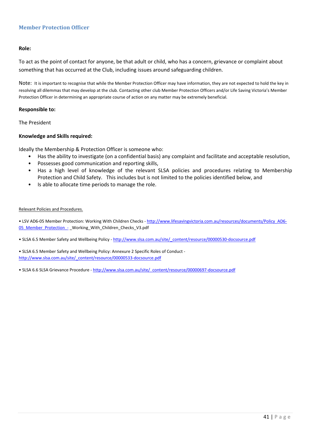# **Member Protection Officer**

#### **Role:**

To act as the point of contact for anyone, be that adult or child, who has a concern, grievance or complaint about something that has occurred at the Club, including issues around safeguarding children.

Note: It is important to recognise that while the Member Protection Officer may have information, they are not expected to hold the key in resolving all dilemmas that may develop at the club. Contacting other club Member Protection Officers and/or Life Saving Victoria's Member Protection Officer in determining an appropriate course of action on any matter may be extremely beneficial.

#### **Responsible to:**

The President

#### **Knowledge and Skills required:**

Ideally the Membership & Protection Officer is someone who:

- Has the ability to investigate (on a confidential basis) any complaint and facilitate and acceptable resolution,
- Possesses good communication and reporting skills,
- Has a high level of knowledge of the relevant SLSA policies and procedures relating to Membership Protection and Child Safety. This includes but is not limited to the policies identified below, and
- Is able to allocate time periods to manage the role.

#### Relevant Policies and Procedures.

• LSV AD6-05 Member Protection: Working With Children Checks - http://www.lifesavingvictoria.com.au/resources/documents/Policy\_AD6-05 Member Protection - Working With Children Checks V3.pdf

• SLSA 6.5 Member Safety and Wellbeing Policy - http://www.slsa.com.au/site/\_content/resource/00000530-docsource.pdf

• SLSA 6.5 Member Safety and Wellbeing Policy: Annexure 2 Specific Roles of Conduct ‐ http://www.slsa.com.au/site/\_content/resource/00000533-docsource.pdf

• SLSA 6.6 SLSA Grievance Procedure - http://www.slsa.com.au/site/\_content/resource/00000697-docsource.pdf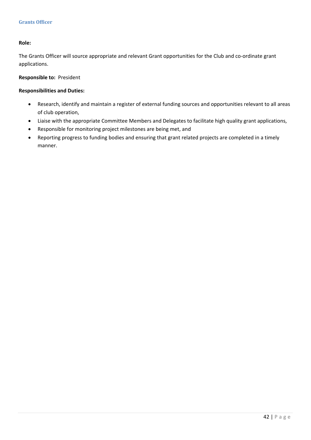# **Role:**

The Grants Officer will source appropriate and relevant Grant opportunities for the Club and co-ordinate grant applications.

# **Responsible to: President**

# **Responsibilities and Duties:**

- Research, identify and maintain a register of external funding sources and opportunities relevant to all areas of club operation,
- Liaise with the appropriate Committee Members and Delegates to facilitate high quality grant applications,
- Responsible for monitoring project milestones are being met, and
- Reporting progress to funding bodies and ensuring that grant related projects are completed in a timely manner.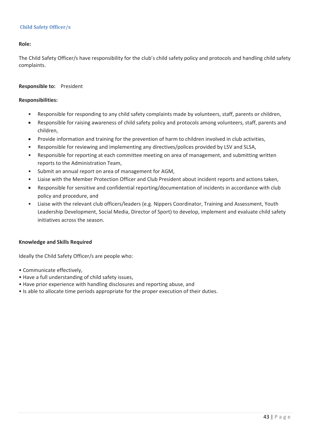# **Child Safety Officer/s**

# **Role:**

The Child Safety Officer/s have responsibility for the club's child safety policy and protocols and handling child safety complaints.

# **Responsible to:** President

#### **Responsibilities:**

- Responsible for responding to any child safety complaints made by volunteers, staff, parents or children,
- Responsible for raising awareness of child safety policy and protocols among volunteers, staff, parents and children,
- Provide information and training for the prevention of harm to children involved in club activities,
- Responsible for reviewing and implementing any directives/polices provided by LSV and SLSA,
- Responsible for reporting at each committee meeting on area of management, and submitting written reports to the Administration Team,
- Submit an annual report on area of management for AGM,
- Liaise with the Member Protection Officer and Club President about incident reports and actions taken,
- Responsible for sensitive and confidential reporting/documentation of incidents in accordance with club policy and procedure, and
- Liaise with the relevant club officers/leaders (e.g. Nippers Coordinator, Training and Assessment, Youth Leadership Development, Social Media, Director of Sport) to develop, implement and evaluate child safety initiatives across the season.

# **Knowledge and Skills Required**

Ideally the Child Safety Officer/s are people who:

- Communicate effectively,
- Have a full understanding of child safety issues,
- Have prior experience with handling disclosures and reporting abuse, and
- Is able to allocate time periods appropriate for the proper execution of their duties.